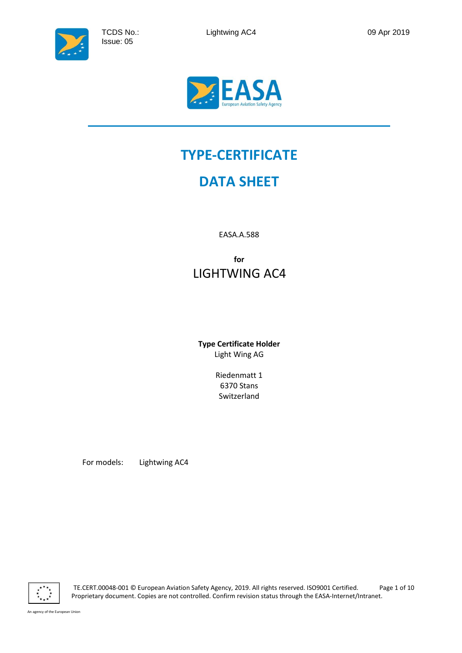

# **TYPE-CERTIFICATE**

# **DATA SHEET**

EASA.A.588

**for** LIGHTWING AC4

**Type Certificate Holder** Light Wing AG

> Riedenmatt 1 6370 Stans Switzerland

For models: Lightwing AC4

TE.CERT.00048-001 © European Aviation Safety Agency, 2019. All rights reserved. ISO9001 Certified. Page 1 of 10 Proprietary document. Copies are not controlled. Confirm revision status through the EASA-Internet/Intranet.

An agency of the European Union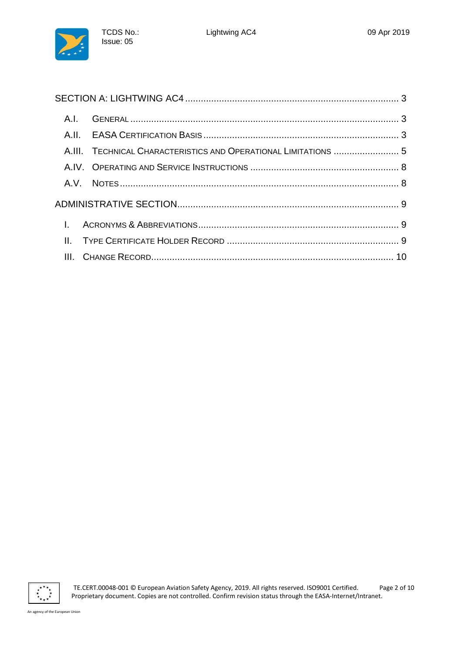

| A.I.      |                                                                 |  |
|-----------|-----------------------------------------------------------------|--|
|           |                                                                 |  |
|           | A.III. TECHNICAL CHARACTERISTICS AND OPERATIONAL LIMITATIONS  5 |  |
|           |                                                                 |  |
|           |                                                                 |  |
|           |                                                                 |  |
| $\sim 1.$ |                                                                 |  |
|           |                                                                 |  |
|           |                                                                 |  |

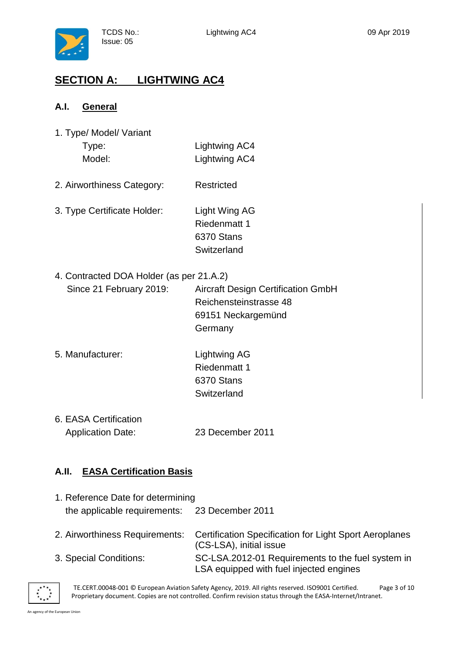

## <span id="page-2-0"></span>**SECTION A: LIGHTWING AC4**

TCDS No.: Issue: 05

#### <span id="page-2-1"></span>**A.I. General**

| 1. Type/ Model/ Variant |               |
|-------------------------|---------------|
| Type:                   | Lightwing AC4 |
| Model:                  | Lightwing AC4 |

- 2. Airworthiness Category: Restricted
- 3. Type Certificate Holder: Light Wing AG Riedenmatt 1 6370 Stans **Switzerland**
- 4. Contracted DOA Holder (as per 21.A.2)

| Since 21 February 2019: | <b>Aircraft Design Certification GmbH</b> |
|-------------------------|-------------------------------------------|
|                         | Reichensteinstrasse 48                    |
|                         | 69151 Neckargemünd                        |
|                         | Germany                                   |

- 5. Manufacturer: Lightwing AG Riedenmatt 1 6370 Stans **Switzerland**
- 6. EASA Certification Application Date: 23 December 2011

#### <span id="page-2-2"></span>**A.II. EASA Certification Basis**

| 1. Reference Date for determining             |                                                                                              |  |
|-----------------------------------------------|----------------------------------------------------------------------------------------------|--|
| the applicable requirements: 23 December 2011 |                                                                                              |  |
| 2. Airworthiness Requirements:                | <b>Certification Specification for Light Sport Aeroplanes</b><br>(CS-LSA), initial issue     |  |
| 3. Special Conditions:                        | SC-LSA.2012-01 Requirements to the fuel system in<br>LSA equipped with fuel injected engines |  |



TE.CERT.00048-001 © European Aviation Safety Agency, 2019. All rights reserved. ISO9001 Certified. Page 3 of 10 Proprietary document. Copies are not controlled. Confirm revision status through the EASA-Internet/Intranet.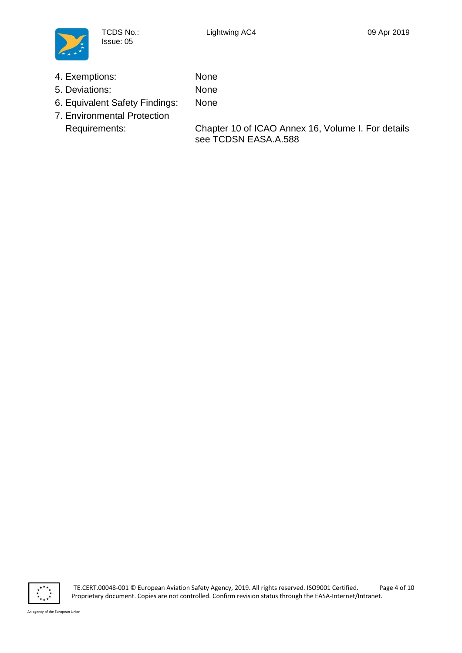

4. Exemptions: None

TCDS No.: Issue: 05

- 5. Deviations: None
- 6. Equivalent Safety Findings: None
- 7. Environmental Protection

Requirements: Chapter 10 of ICAO Annex 16, Volume I. For details see TCDSN EASA.A.588

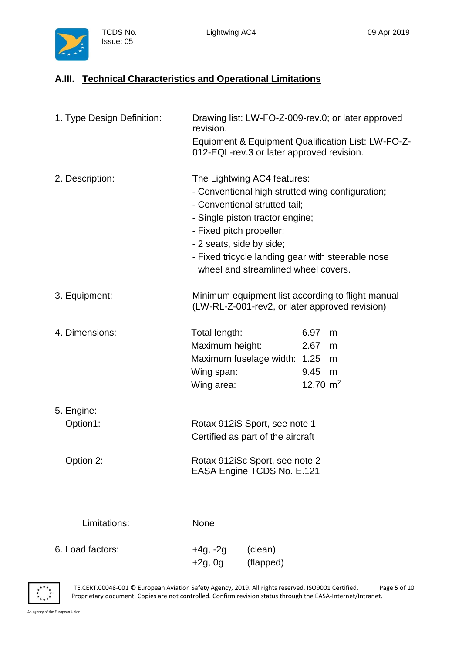

TCDS No.: Issue: 05

### <span id="page-4-0"></span>**A.III. Technical Characteristics and Operational Limitations**

| 1. Type Design Definition:          | revision.                                                    | 012-EQL-rev.3 or later approved revision.                                                                                              |                                    | Drawing list: LW-FO-Z-009-rev.0; or later approved<br>Equipment & Equipment Qualification List: LW-FO-Z- |
|-------------------------------------|--------------------------------------------------------------|----------------------------------------------------------------------------------------------------------------------------------------|------------------------------------|----------------------------------------------------------------------------------------------------------|
| 2. Description:                     | - Fixed pitch propeller;<br>- 2 seats, side by side;         | The Lightwing AC4 features:<br>- Conventional strutted tail:<br>- Single piston tractor engine;<br>wheel and streamlined wheel covers. |                                    | - Conventional high strutted wing configuration;<br>- Fixed tricycle landing gear with steerable nose    |
| 3. Equipment:                       |                                                              |                                                                                                                                        |                                    | Minimum equipment list according to flight manual<br>(LW-RL-Z-001-rev2, or later approved revision)      |
| 4. Dimensions:                      | Total length:<br>Maximum height:<br>Wing span:<br>Wing area: | Maximum fuselage width: 1.25                                                                                                           | 6.97<br>2.67<br>9.45<br>12.70 $m2$ | m<br>m<br>m<br>m                                                                                         |
| 5. Engine:<br>Option1:<br>Option 2: |                                                              | Rotax 912iS Sport, see note 1<br>Certified as part of the aircraft<br>Rotax 912iSc Sport, see note 2<br>EASA Engine TCDS No. E.121     |                                    |                                                                                                          |
| Limitations:                        | None                                                         |                                                                                                                                        |                                    |                                                                                                          |
| 6. Load factors:                    | $+4g, -2g$<br>$+2g, 0g$                                      | (clean)<br>(flapped)                                                                                                                   |                                    |                                                                                                          |

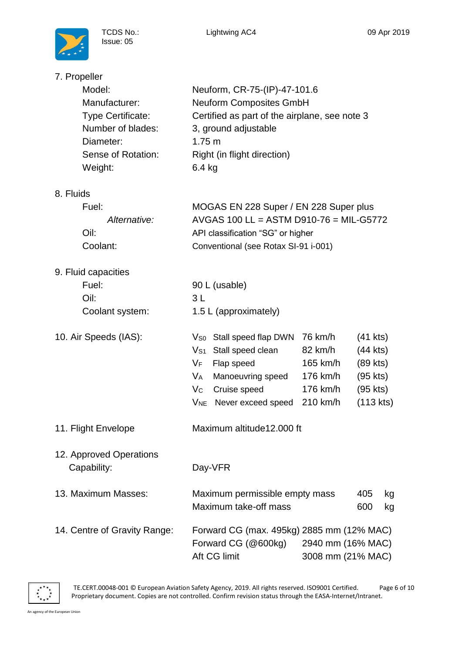

| 7. Propeller |  |
|--------------|--|
|              |  |

| Model:                   | Neuform, CR-75-(IP)-47-101.6                  |
|--------------------------|-----------------------------------------------|
| Manufacturer:            | <b>Neuform Composites GmbH</b>                |
| <b>Type Certificate:</b> | Certified as part of the airplane, see note 3 |
| Number of blades:        | 3, ground adjustable                          |
| Diameter:                | $1.75 \text{ m}$                              |
| Sense of Rotation:       | Right (in flight direction)                   |
| Weight:                  | $6.4$ kg                                      |
|                          |                                               |
| ıids                     |                                               |

## 8. Fluids

| Fuel:        | MOGAS EN 228 Super / EN 228 Super plus  |
|--------------|-----------------------------------------|
| Alternative: | AVGAS 100 LL = ASTM D910-76 = MIL-G5772 |
| Oil:         | API classification "SG" or higher       |
| Coolant:     | Conventional (see Rotax SI-91 i-001)    |

| 9. Fluid capacities                    |                                                                                                                                                                                                                     |                                                                    |                                                                         |          |
|----------------------------------------|---------------------------------------------------------------------------------------------------------------------------------------------------------------------------------------------------------------------|--------------------------------------------------------------------|-------------------------------------------------------------------------|----------|
| Fuel:                                  | 90 L (usable)                                                                                                                                                                                                       |                                                                    |                                                                         |          |
| Oil:                                   | 3L                                                                                                                                                                                                                  |                                                                    |                                                                         |          |
| Coolant system:                        | 1.5 L (approximately)                                                                                                                                                                                               |                                                                    |                                                                         |          |
| 10. Air Speeds (IAS):                  | Stall speed flap DWN<br>$V_{S0}$<br>$\mathsf{V}_{\mathsf{S}1}$<br>Stall speed clean<br>VF<br>Flap speed<br>V <sub>A</sub><br>Manoeuvring speed<br>$V_{\rm C}$<br>Cruise speed<br>V <sub>NE</sub> Never exceed speed | 76 km/h<br>82 km/h<br>165 km/h<br>176 km/h<br>176 km/h<br>210 km/h | (41 kts)<br>(44 kts)<br>(89 kts)<br>(95 kts)<br>(95 kts)<br>$(113$ kts) |          |
| 11. Flight Envelope                    | Maximum altitude 12,000 ft                                                                                                                                                                                          |                                                                    |                                                                         |          |
| 12. Approved Operations<br>Capability: | Day-VFR                                                                                                                                                                                                             |                                                                    |                                                                         |          |
| 13. Maximum Masses:                    | Maximum permissible empty mass<br>Maximum take-off mass                                                                                                                                                             |                                                                    | 405<br>600                                                              | kg<br>kg |
| 14. Centre of Gravity Range:           | Forward CG (max. 495kg) 2885 mm (12% MAC)<br>Forward CG (@600kg)<br>Aft CG limit                                                                                                                                    | 2940 mm (16% MAC)<br>3008 mm (21% MAC)                             |                                                                         |          |

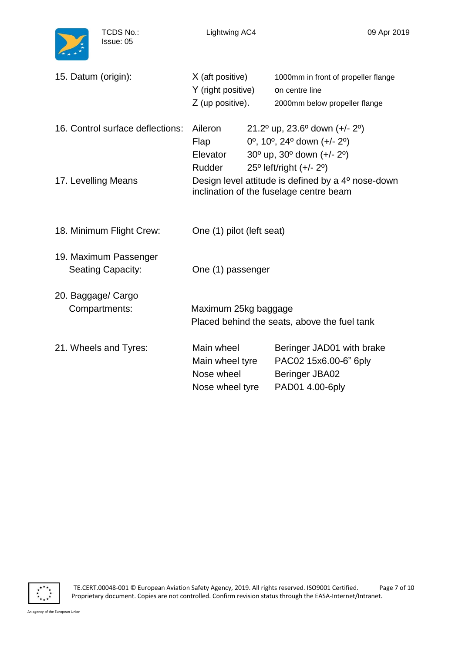

TCDS No.: Issue: 05

| 15. Datum (origin):                               | X (aft positive)<br>Y (right positive)<br>Z (up positive).     | 1000mm in front of propeller flange<br>on centre line<br>2000mm below propeller flange                                                                                                  |
|---------------------------------------------------|----------------------------------------------------------------|-----------------------------------------------------------------------------------------------------------------------------------------------------------------------------------------|
| 16. Control surface deflections:                  | Aileron<br>Flap<br>Elevator<br><b>Rudder</b>                   | 21.2° up, 23.6° down $(+/- 2°)$<br>$0^{\circ}$ , 10 <sup>o</sup> , 24 <sup>o</sup> down (+/- 2 <sup>o</sup> )<br>$30^{\circ}$ up, $30^{\circ}$ down (+/- 2°)<br>25° left/right (+/- 2°) |
| 17. Levelling Means                               |                                                                | Design level attitude is defined by a 4 <sup>o</sup> nose-down<br>inclination of the fuselage centre beam                                                                               |
| 18. Minimum Flight Crew:                          | One (1) pilot (left seat)                                      |                                                                                                                                                                                         |
| 19. Maximum Passenger<br><b>Seating Capacity:</b> | One (1) passenger                                              |                                                                                                                                                                                         |
| 20. Baggage/ Cargo<br>Compartments:               | Maximum 25kg baggage                                           | Placed behind the seats, above the fuel tank                                                                                                                                            |
| 21. Wheels and Tyres:                             | Main wheel<br>Main wheel tyre<br>Nose wheel<br>Nose wheel tyre | Beringer JAD01 with brake<br>PAC02 15x6.00-6" 6ply<br>Beringer JBA02<br>PAD01 4.00-6ply                                                                                                 |

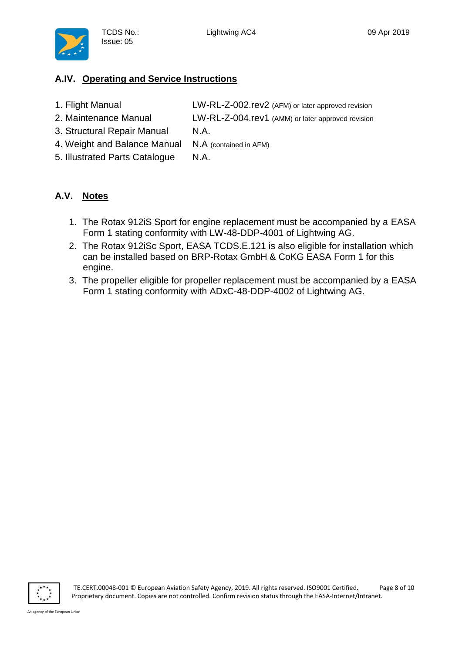

### <span id="page-7-0"></span>**A.IV. Operating and Service Instructions**

- 1. Flight Manual LW-RL-Z-002.rev2 (AFM) or later approved revision
- 2. Maintenance Manual LW-RL-Z-004.rev1 (AMM) or later approved revision
- 3. Structural Repair Manual N.A.

TCDS No.: Issue: 05

- 4. Weight and Balance Manual N.A (contained in AFM)
- 5. Illustrated Parts Catalogue N.A.

#### <span id="page-7-1"></span>**A.V. Notes**

- 1. The Rotax 912iS Sport for engine replacement must be accompanied by a EASA Form 1 stating conformity with LW-48-DDP-4001 of Lightwing AG.
- 2. The Rotax 912iSc Sport, EASA TCDS.E.121 is also eligible for installation which can be installed based on BRP-Rotax GmbH & CoKG EASA Form 1 for this engine.
- 3. The propeller eligible for propeller replacement must be accompanied by a EASA Form 1 stating conformity with ADxC-48-DDP-4002 of Lightwing AG.

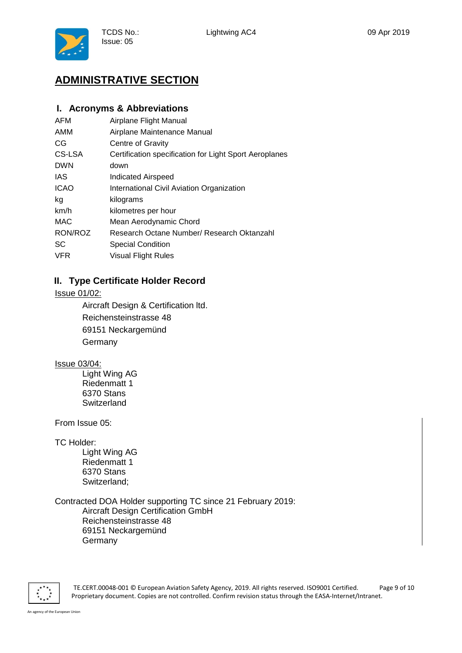

# <span id="page-8-0"></span>**ADMINISTRATIVE SECTION**

TCDS No.: Issue: 05

#### <span id="page-8-1"></span>**I. Acronyms & Abbreviations**

| AFM         | Airplane Flight Manual                                 |
|-------------|--------------------------------------------------------|
| AMM         | Airplane Maintenance Manual                            |
| CG          | <b>Centre of Gravity</b>                               |
| CS-LSA      | Certification specification for Light Sport Aeroplanes |
| <b>DWN</b>  | down                                                   |
| IAS         | Indicated Airspeed                                     |
| <b>ICAO</b> | International Civil Aviation Organization              |
| kg          | kilograms                                              |
| km/h        | kilometres per hour                                    |
| MAC         | Mean Aerodynamic Chord                                 |
| RON/ROZ     | Research Octane Number/ Research Oktanzahl             |
| SC          | <b>Special Condition</b>                               |
| <b>VFR</b>  | <b>Visual Flight Rules</b>                             |
|             |                                                        |

#### <span id="page-8-2"></span>**II. Type Certificate Holder Record**

Issue 01/02:

Aircraft Design & Certification ltd. Reichensteinstrasse 48 69151 Neckargemünd **Germany** 

#### Issue 03/04:

Light Wing AG Riedenmatt 1 6370 Stans Switzerland

From Issue 05:

TC Holder:

Light Wing AG Riedenmatt 1 6370 Stans Switzerland;

Contracted DOA Holder supporting TC since 21 February 2019: Aircraft Design Certification GmbH Reichensteinstrasse 48 69151 Neckargemünd **Germany** 



TE.CERT.00048-001 © European Aviation Safety Agency, 2019. All rights reserved. ISO9001 Certified. Page 9 of 10 Proprietary document. Copies are not controlled. Confirm revision status through the EASA-Internet/Intranet.